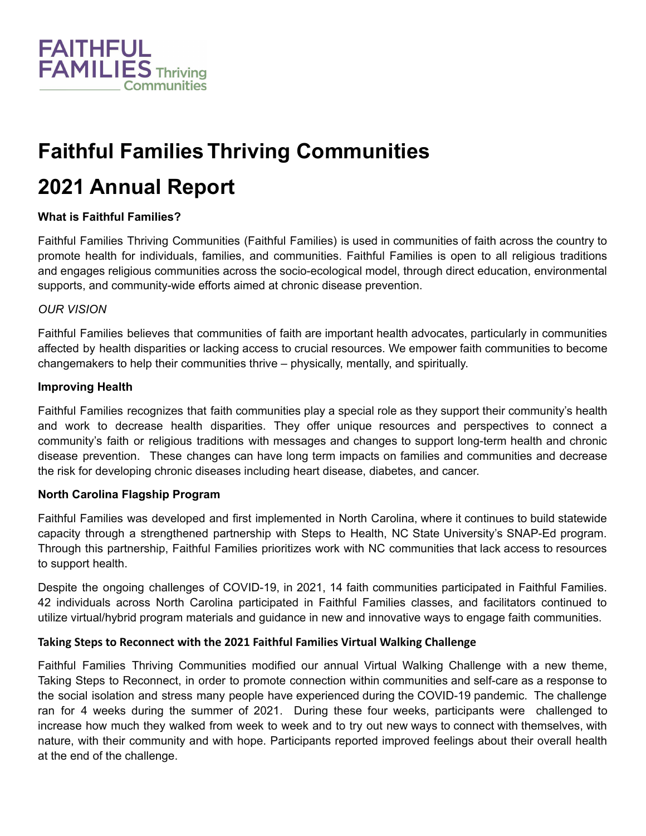

# **Faithful Families Thriving Communities**

# **2021 Annual Report**

### **What is Faithful Families?**

Faithful Families Thriving Communities (Faithful Families) is used in communities of faith across the country to promote health for individuals, families, and communities. Faithful Families is open to all religious traditions and engages religious communities across the socio-ecological model, through direct education, environmental supports, and community-wide efforts aimed at chronic disease prevention.

#### *OUR VISION*

Faithful Families believes that communities of faith are important health advocates, particularly in communities affected by health disparities or lacking access to crucial resources. We empower faith communities to become changemakers to help their communities thrive – physically, mentally, and spiritually.

#### **Improving Health**

Faithful Families recognizes that faith communities play a special role as they support their community's health and work to decrease health disparities. They offer unique resources and perspectives to connect a community's faith or religious traditions with messages and changes to support long-term health and chronic disease prevention. These changes can have long term impacts on families and communities and decrease the risk for developing chronic diseases including heart disease, diabetes, and cancer.

#### **North Carolina Flagship Program**

Faithful Families was developed and first implemented in North Carolina, where it continues to build statewide capacity through a strengthened partnership with Steps to Health, NC State University's SNAP-Ed program. Through this partnership, Faithful Families prioritizes work with NC communities that lack access to resources to support health.

Despite the ongoing challenges of COVID-19, in 2021, 14 faith communities participated in Faithful Families. 42 individuals across North Carolina participated in Faithful Families classes, and facilitators continued to utilize virtual/hybrid program materials and guidance in new and innovative ways to engage faith communities.

#### **Taking Steps to Reconnect with the 2021 Faithful Families Virtual Walking Challenge**

Faithful Families Thriving Communities modified our annual Virtual Walking Challenge with a new theme, Taking Steps to Reconnect, in order to promote connection within communities and self-care as a response to the social isolation and stress many people have experienced during the COVID-19 pandemic. The challenge ran for 4 weeks during the summer of 2021. During these four weeks, participants were challenged to increase how much they walked from week to week and to try out new ways to connect with themselves, with nature, with their community and with hope. Participants reported improved feelings about their overall health at the end of the challenge.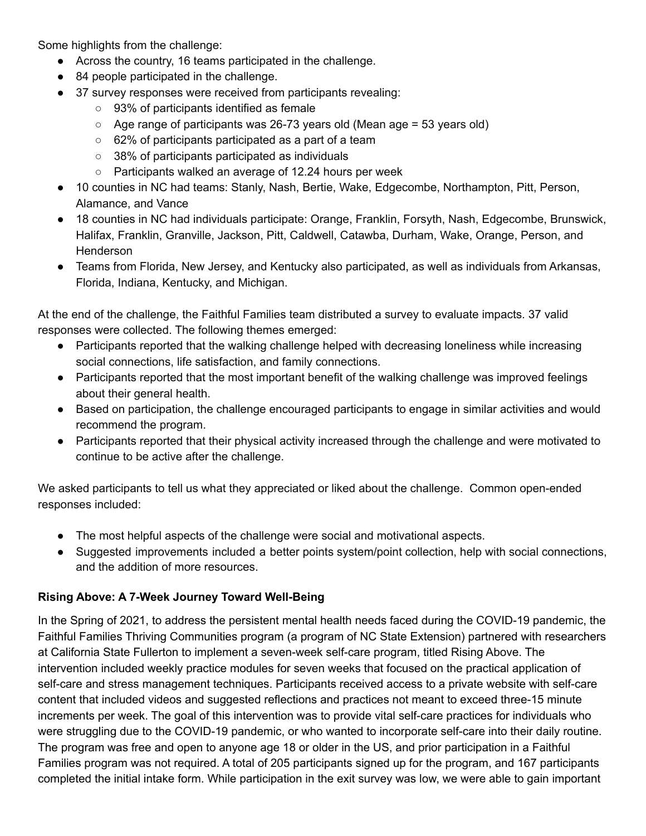Some highlights from the challenge:

- Across the country, 16 teams participated in the challenge.
- 84 people participated in the challenge.
- 37 survey responses were received from participants revealing:
	- 93% of participants identified as female
	- $\circ$  Age range of participants was 26-73 years old (Mean age = 53 years old)
	- 62% of participants participated as a part of a team
	- 38% of participants participated as individuals
	- Participants walked an average of 12.24 hours per week
- 10 counties in NC had teams: Stanly, Nash, Bertie, Wake, Edgecombe, Northampton, Pitt, Person, Alamance, and Vance
- 18 counties in NC had individuals participate: Orange, Franklin, Forsyth, Nash, Edgecombe, Brunswick, Halifax, Franklin, Granville, Jackson, Pitt, Caldwell, Catawba, Durham, Wake, Orange, Person, and **Henderson**
- Teams from Florida, New Jersey, and Kentucky also participated, as well as individuals from Arkansas, Florida, Indiana, Kentucky, and Michigan.

At the end of the challenge, the Faithful Families team distributed a survey to evaluate impacts. 37 valid responses were collected. The following themes emerged:

- Participants reported that the walking challenge helped with decreasing loneliness while increasing social connections, life satisfaction, and family connections.
- Participants reported that the most important benefit of the walking challenge was improved feelings about their general health.
- Based on participation, the challenge encouraged participants to engage in similar activities and would recommend the program.
- Participants reported that their physical activity increased through the challenge and were motivated to continue to be active after the challenge.

We asked participants to tell us what they appreciated or liked about the challenge. Common open-ended responses included:

- The most helpful aspects of the challenge were social and motivational aspects.
- Suggested improvements included a better points system/point collection, help with social connections, and the addition of more resources.

### **Rising Above: A 7-Week Journey Toward Well-Being**

In the Spring of 2021, to address the persistent mental health needs faced during the COVID-19 pandemic, the Faithful Families Thriving Communities program (a program of NC State Extension) partnered with researchers at California State Fullerton to implement a seven-week self-care program, titled Rising Above. The intervention included weekly practice modules for seven weeks that focused on the practical application of self-care and stress management techniques. Participants received access to a private website with self-care content that included videos and suggested reflections and practices not meant to exceed three-15 minute increments per week. The goal of this intervention was to provide vital self-care practices for individuals who were struggling due to the COVID-19 pandemic, or who wanted to incorporate self-care into their daily routine. The program was free and open to anyone age 18 or older in the US, and prior participation in a Faithful Families program was not required. A total of 205 participants signed up for the program, and 167 participants completed the initial intake form. While participation in the exit survey was low, we were able to gain important